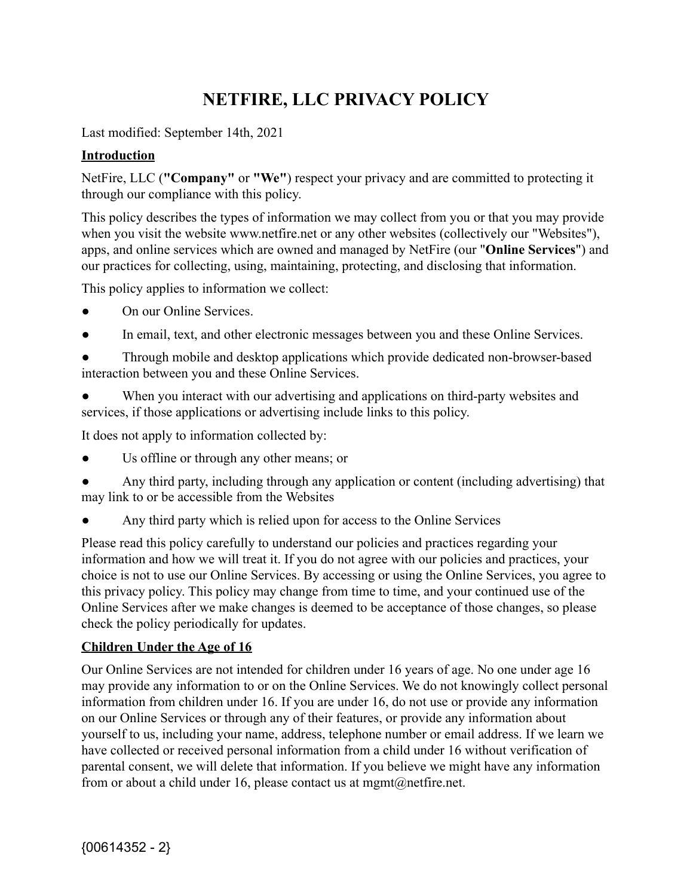# **NETFIRE, LLC PRIVACY POLICY**

Last modified: September 14th, 2021

### **Introduction**

NetFire, LLC (**"Company"** or **"We"**) respect your privacy and are committed to protecting it through our compliance with this policy.

This policy describes the types of information we may collect from you or that you may provide when you visit the website www.netfire.net or any other websites (collectively our "Websites"), apps, and online services which are owned and managed by NetFire (our "**Online Services**") and our practices for collecting, using, maintaining, protecting, and disclosing that information.

This policy applies to information we collect:

- On our Online Services.
- In email, text, and other electronic messages between you and these Online Services.

● Through mobile and desktop applications which provide dedicated non-browser-based interaction between you and these Online Services.

When you interact with our advertising and applications on third-party websites and services, if those applications or advertising include links to this policy.

It does not apply to information collected by:

- Us offline or through any other means; or
- Any third party, including through any application or content (including advertising) that may link to or be accessible from the Websites
- Any third party which is relied upon for access to the Online Services

Please read this policy carefully to understand our policies and practices regarding your information and how we will treat it. If you do not agree with our policies and practices, your choice is not to use our Online Services. By accessing or using the Online Services, you agree to this privacy policy. This policy may change from time to time, and your continued use of the Online Services after we make changes is deemed to be acceptance of those changes, so please check the policy periodically for updates.

### **Children Under the Age of 16**

Our Online Services are not intended for children under 16 years of age. No one under age 16 may provide any information to or on the Online Services. We do not knowingly collect personal information from children under 16. If you are under 16, do not use or provide any information on our Online Services or through any of their features, or provide any information about yourself to us, including your name, address, telephone number or email address. If we learn we have collected or received personal information from a child under 16 without verification of parental consent, we will delete that information. If you believe we might have any information from or about a child under 16, please contact us at mgmt@netfire.net.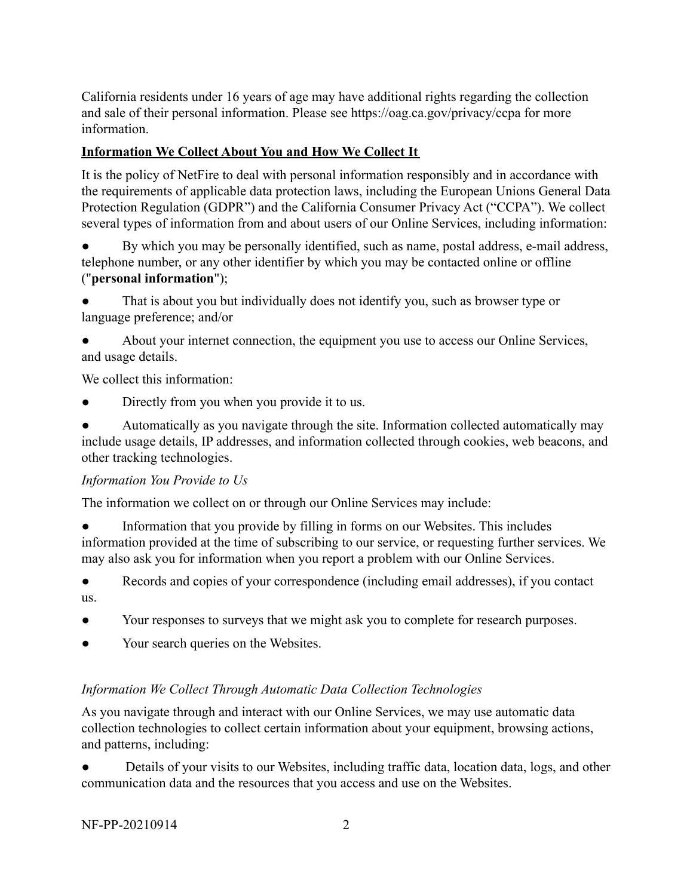California residents under 16 years of age may have additional rights regarding the collection and sale of their personal information. Please see https://oag.ca.gov/privacy/ccpa for more information.

### **Information We Collect About You and How We Collect It**

It is the policy of NetFire to deal with personal information responsibly and in accordance with the requirements of applicable data protection laws, including the European Unions General Data Protection Regulation (GDPR") and the California Consumer Privacy Act ("CCPA"). We collect several types of information from and about users of our Online Services, including information:

● By which you may be personally identified, such as name, postal address, e-mail address, telephone number, or any other identifier by which you may be contacted online or offline ("**personal information**");

That is about you but individually does not identify you, such as browser type or language preference; and/or

About your internet connection, the equipment you use to access our Online Services, and usage details.

We collect this information:

Directly from you when you provide it to us.

● Automatically as you navigate through the site. Information collected automatically may include usage details, IP addresses, and information collected through cookies, web beacons, and other tracking technologies.

### *Information You Provide to Us*

The information we collect on or through our Online Services may include:

Information that you provide by filling in forms on our Websites. This includes information provided at the time of subscribing to our service, or requesting further services. We may also ask you for information when you report a problem with our Online Services.

● Records and copies of your correspondence (including email addresses), if you contact us.

- Your responses to surveys that we might ask you to complete for research purposes.
- Your search queries on the Websites.

### *Information We Collect Through Automatic Data Collection Technologies*

As you navigate through and interact with our Online Services, we may use automatic data collection technologies to collect certain information about your equipment, browsing actions, and patterns, including:

Details of your visits to our Websites, including traffic data, location data, logs, and other communication data and the resources that you access and use on the Websites.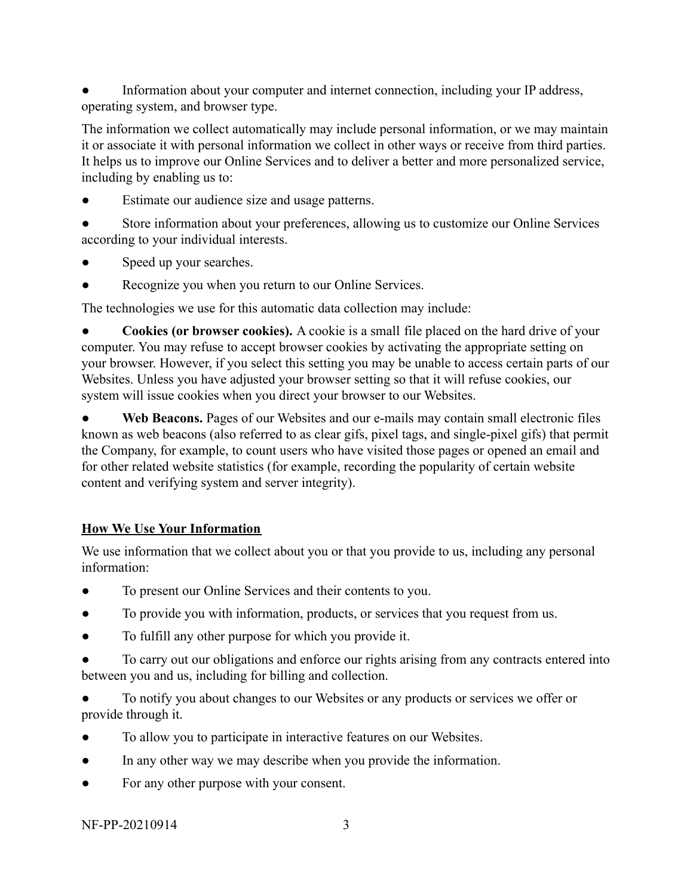Information about your computer and internet connection, including your IP address, operating system, and browser type.

The information we collect automatically may include personal information, or we may maintain it or associate it with personal information we collect in other ways or receive from third parties. It helps us to improve our Online Services and to deliver a better and more personalized service, including by enabling us to:

- Estimate our audience size and usage patterns.
- Store information about your preferences, allowing us to customize our Online Services according to your individual interests.
- Speed up your searches.
- Recognize you when you return to our Online Services.

The technologies we use for this automatic data collection may include:

**Cookies (or browser cookies).** A cookie is a small file placed on the hard drive of your computer. You may refuse to accept browser cookies by activating the appropriate setting on your browser. However, if you select this setting you may be unable to access certain parts of our Websites. Unless you have adjusted your browser setting so that it will refuse cookies, our system will issue cookies when you direct your browser to our Websites.

● **Web Beacons.** Pages of our Websites and our e-mails may contain small electronic files known as web beacons (also referred to as clear gifs, pixel tags, and single-pixel gifs) that permit the Company, for example, to count users who have visited those pages or opened an email and for other related website statistics (for example, recording the popularity of certain website content and verifying system and server integrity).

# **How We Use Your Information**

We use information that we collect about you or that you provide to us, including any personal information:

- To present our Online Services and their contents to you.
- To provide you with information, products, or services that you request from us.
- To fulfill any other purpose for which you provide it.
- To carry out our obligations and enforce our rights arising from any contracts entered into between you and us, including for billing and collection.

To notify you about changes to our Websites or any products or services we offer or provide through it.

- To allow you to participate in interactive features on our Websites.
- In any other way we may describe when you provide the information.
- For any other purpose with your consent.

NF-PP-20210914 3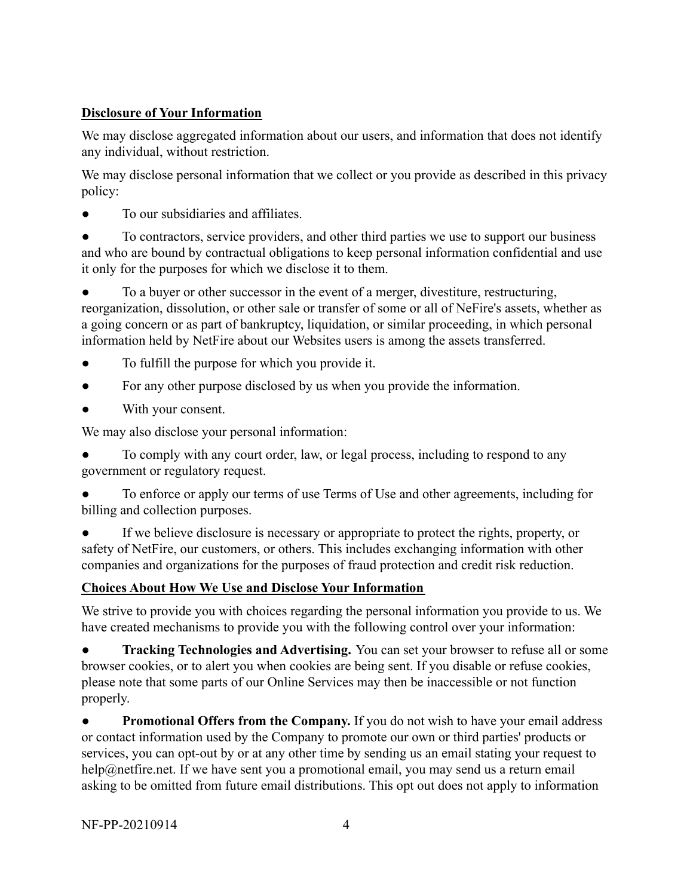### **Disclosure of Your Information**

We may disclose aggregated information about our users, and information that does not identify any individual, without restriction.

We may disclose personal information that we collect or you provide as described in this privacy policy:

To our subsidiaries and affiliates.

To contractors, service providers, and other third parties we use to support our business and who are bound by contractual obligations to keep personal information confidential and use it only for the purposes for which we disclose it to them.

To a buyer or other successor in the event of a merger, divestiture, restructuring, reorganization, dissolution, or other sale or transfer of some or all of NeFire's assets, whether as a going concern or as part of bankruptcy, liquidation, or similar proceeding, in which personal information held by NetFire about our Websites users is among the assets transferred.

- To fulfill the purpose for which you provide it.
- For any other purpose disclosed by us when you provide the information.
- With your consent.

We may also disclose your personal information:

To comply with any court order, law, or legal process, including to respond to any government or regulatory request.

To enforce or apply our terms of use Terms of Use and other agreements, including for billing and collection purposes.

If we believe disclosure is necessary or appropriate to protect the rights, property, or safety of NetFire, our customers, or others. This includes exchanging information with other companies and organizations for the purposes of fraud protection and credit risk reduction.

# **Choices About How We Use and Disclose Your Information**

We strive to provide you with choices regarding the personal information you provide to us. We have created mechanisms to provide you with the following control over your information:

**Tracking Technologies and Advertising.** You can set your browser to refuse all or some browser cookies, or to alert you when cookies are being sent. If you disable or refuse cookies, please note that some parts of our Online Services may then be inaccessible or not function properly.

**Promotional Offers from the Company.** If you do not wish to have your email address or contact information used by the Company to promote our own or third parties' products or services, you can opt-out by or at any other time by sending us an email stating your request to help@netfire.net. If we have sent you a promotional email, you may send us a return email asking to be omitted from future email distributions. This opt out does not apply to information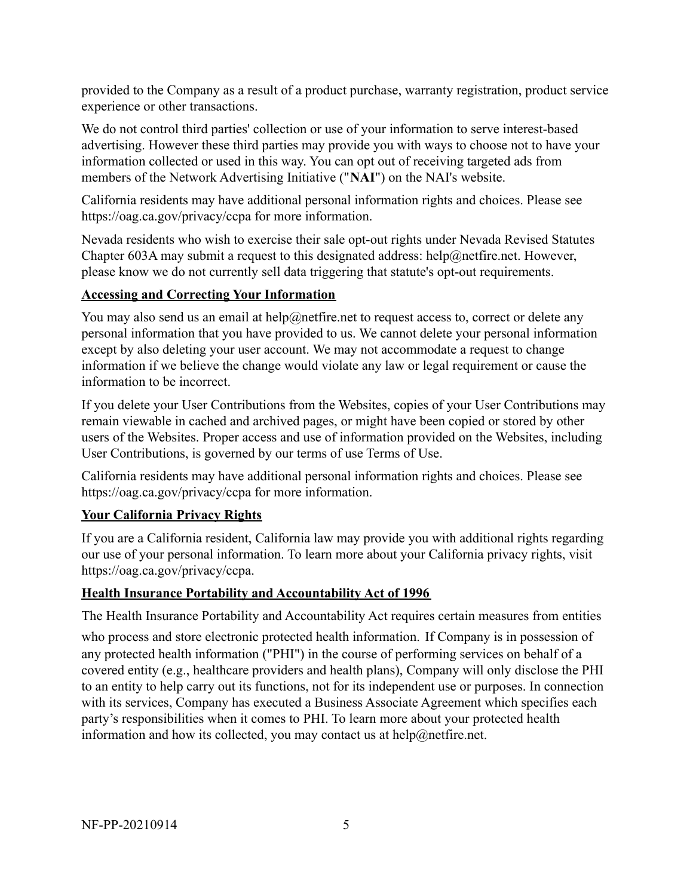provided to the Company as a result of a product purchase, warranty registration, product service experience or other transactions.

We do not control third parties' collection or use of your information to serve interest-based advertising. However these third parties may provide you with ways to choose not to have your information collected or used in this way. You can opt out of receiving targeted ads from members of the Network Advertising Initiative ("**NAI**") on the NAI's website.

California residents may have additional personal information rights and choices. Please see https://oag.ca.gov/privacy/ccpa for more information.

Nevada residents who wish to exercise their sale opt-out rights under Nevada Revised Statutes Chapter 603A may submit a request to this designated address: help@netfire.net. However, please know we do not currently sell data triggering that statute's opt-out requirements.

### **Accessing and Correcting Your Information**

You may also send us an email at help@netfire.net to request access to, correct or delete any personal information that you have provided to us. We cannot delete your personal information except by also deleting your user account. We may not accommodate a request to change information if we believe the change would violate any law or legal requirement or cause the information to be incorrect.

If you delete your User Contributions from the Websites, copies of your User Contributions may remain viewable in cached and archived pages, or might have been copied or stored by other users of the Websites. Proper access and use of information provided on the Websites, including User Contributions, is governed by our terms of use Terms of Use.

California residents may have additional personal information rights and choices. Please see https://oag.ca.gov/privacy/ccpa for more information.

### **Your California Privacy Rights**

If you are a California resident, California law may provide you with additional rights regarding our use of your personal information. To learn more about your California privacy rights, visit https://oag.ca.gov/privacy/ccpa.

### **Health Insurance Portability and Accountability Act of 1996**

The Health Insurance Portability and Accountability Act requires certain measures from entities who process and store electronic protected health information. If Company is in possession of any protected health information ("PHI") in the course of performing services on behalf of a covered entity (e.g., healthcare providers and health plans), Company will only disclose the PHI to an entity to help carry out its functions, not for its independent use or purposes. In connection with its services, Company has executed a Business Associate Agreement which specifies each party's responsibilities when it comes to PHI. To learn more about your protected health information and how its collected, you may contact us at help@netfire.net.